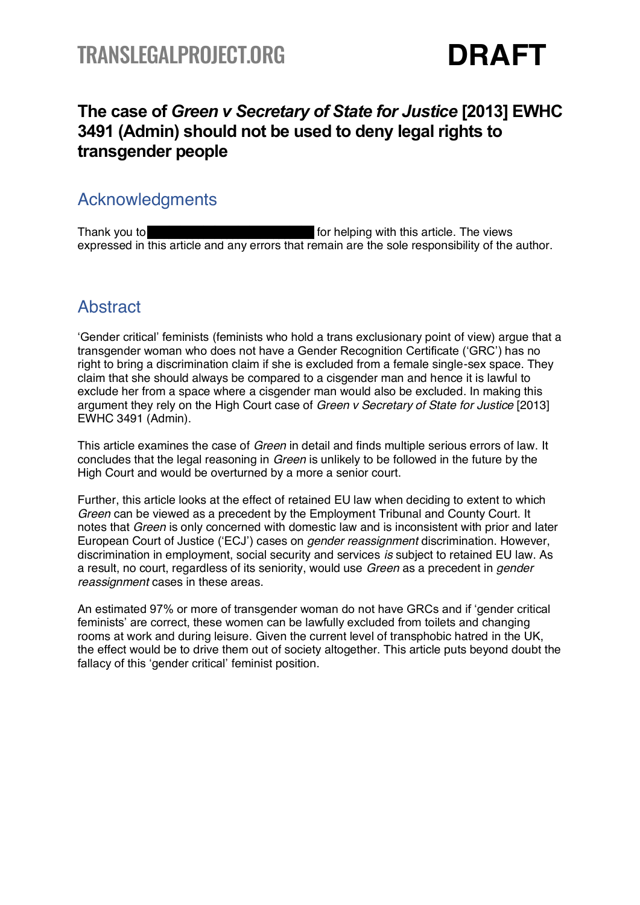# **DRAFT**

# **The caVe of** *Green v Secretar\ of State for Justice* **[2013] EWHC 3491 (Admin) should not be used to deny legal rights to** transgender people

# Acknowledgments

Thank you to **for the formulate intervals of the views** for helping with this article. The views expressed in this article and any errors that remain are the sole responsibility of the author.

# Abstract

µGender critical¶ feminists (feminists who hold a trans exclusionary point of view) argue that a transgender woman who does not have a Gender Recognition Certificate ('GRC') has no right to bring a discrimination claim if she is excluded from a female single-sex space. They claim that she should always be compared to a cisgender man and hence it is lawful to exclude her from a space where a cisgender man would also be excluded. In making this argument they rely on the High Court case of *Green v Secretary of State for Justice* [2013] EWHC 3491 (Admin).

This article examines the case of *Green* in detail and finds multiple serious errors of law. It concludes that the legal reasoning in *Green* is unlikely to be followed in the future by the High Court and would be overturned by a more a senior court.

Further, this article looks at the effect of retained EU law when deciding to extent to which *Green* can be viewed as a precedent by the Employment Tribunal and County Court. It notes that *Green* is only concerned with domestic law and is inconsistent with prior and later European Court of Justice ('ECJ') cases on *gender reassignment* discrimination. However, discrimination in employment, social security and services *is* subject to retained EU law. As a result, no court, regardless of its seniority, would use *Green* as a precedent in *gender reassignment* cases in these areas.

An estimated 97% or more of transgender woman do not have GRCs and if 'gender critical feminists' are correct, these women can be lawfully excluded from toilets and changing rooms at work and during leisure. Given the current level of transphobic hatred in the UK, the effect would be to drive them out of society altogether. This article puts beyond doubt the fallacy of this 'gender critical' feminist position.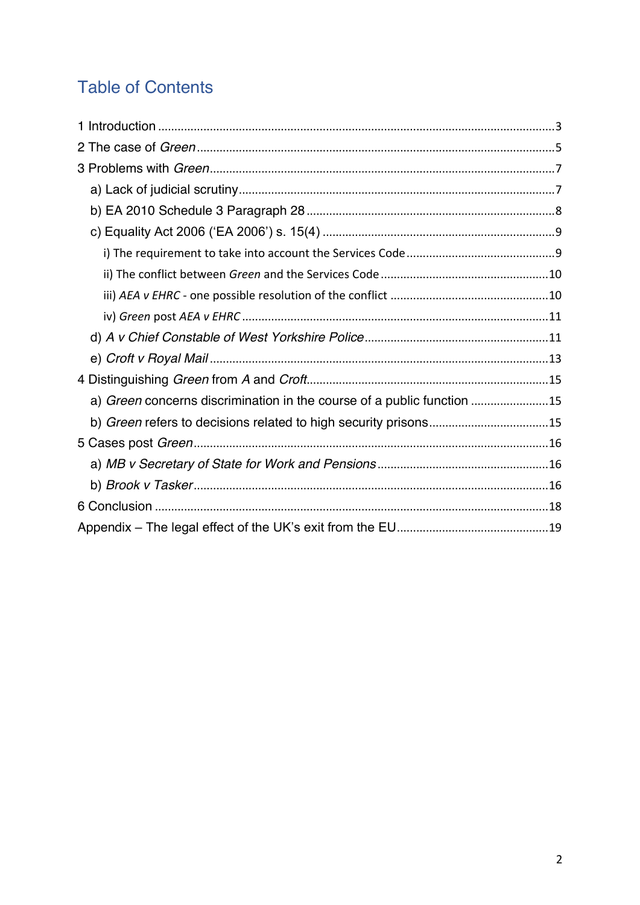# **Table of Contents**

| a) Green concerns discrimination in the course of a public function |  |
|---------------------------------------------------------------------|--|
|                                                                     |  |
|                                                                     |  |
|                                                                     |  |
|                                                                     |  |
|                                                                     |  |
|                                                                     |  |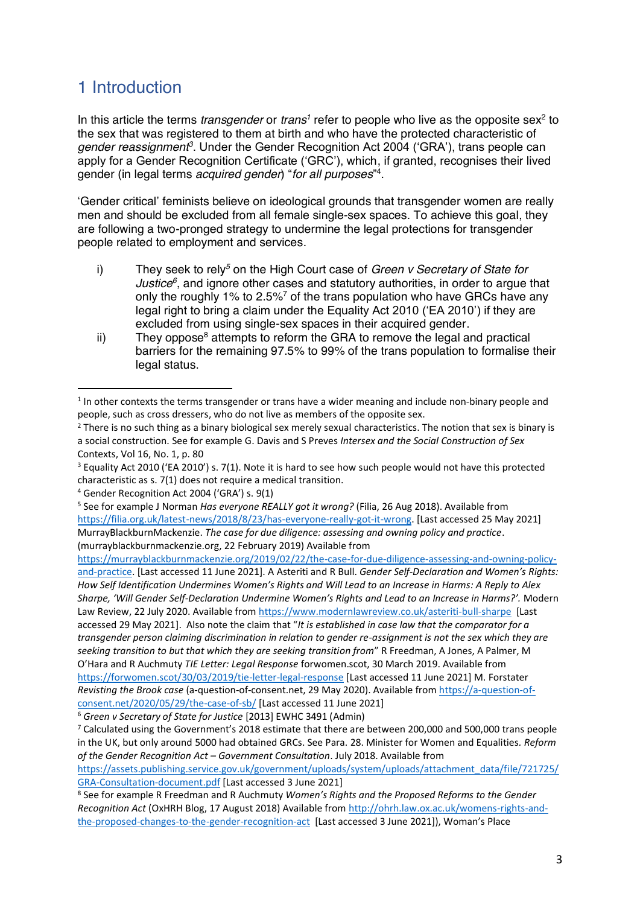### 1 Introduction

In this article the terms *transgender* or *trans<sup>1</sup>* refer to people who live as the opposite sex<sup>2</sup> to the sex that was registered to them at birth and who have the protected characteristic of *gender reassignment*<sup>3</sup>. Under the Gender Recognition Act 2004 ('GRA'), trans people can apply for a Gender Recognition Certificate ('GRC'), which, if granted, recognises their lived gender (in legal terms *acquired gender*) "*for all purposes*" 4.

µGender critical¶ feminists believe on ideological grounds that transgender women are really men and should be excluded from all female single-sex spaces. To achieve this goal, they are following a two-pronged strategy to undermine the legal protections for transgender people related to employment and services.

- i) They seek to rely*<sup>5</sup>* on the High Court case of *Green v Secretary of State for Justice*<sup>6</sup>, and ignore other cases and statutory authorities, in order to argue that only the roughly 1% to 2.5%<sup>7</sup> of the trans population who have GRCs have any legal right to bring a claim under the Equality Act 2010 ('EA 2010') if they are excluded from using single-sex spaces in their acquired gender.
- $\ddot{\text{ii}}$  They oppose<sup>8</sup> attempts to reform the GRA to remove the legal and practical barriers for the remaining 97.5% to 99% of the trans population to formalise their legal status.

https://murrayblackburnmackenzie.org/2019/02/22/the-case-for-due-diligence-assessing-and-owning-policyand-practice. [Last accessed 11 June 2021]. A Asteriti and R Bull. *Gender Self-Declaration and Women's Rights*: *How Self Identification Undermines Women's Rights and Will Lead to an Increase in Harms: A Reply to Alex Sharpe͕ ͚Will Gender Self-Declaration Undermine Women͛s Rights and Lead to an Increase in Harms͍͛͘* Modern Law Review, 22 July 2020. Available from https://www.modernlawreview.co.uk/asteriti-bull-sharpe [Last accessed 29 May 2021]. Also note the claim that "It is established in case law that the comparator for a *transgender person claiming discrimination in relation to gender re-assignment is not the sex which they are seeking transition to but that which they are seeking transition from*" R Freedman, A Jones, A Palmer, M O͛Hara and R Auchmuty *TIE Letter: Legal Response* forwomen.scot, 30 March 2019. Available from https://forwomen.scot/30/03/2019/tie-letter-legal-response [Last accessed 11 June 2021] M. Forstater *Revisting the Brook case* (a-question-of-consent.net, 29 May 2020). Available from https://a-question-ofconsent.net/2020/05/29/the-case-of-sb/ [Last accessed 11 June 2021]

<sup>&</sup>lt;sup>1</sup> In other contexts the terms transgender or trans have a wider meaning and include non-binary people and people, such as cross dressers, who do not live as members of the opposite sex.

<sup>&</sup>lt;sup>2</sup> There is no such thing as a binary biological sex merely sexual characteristics. The notion that sex is binary is a social construction. See for example G. Davis and S Preves *Intersex and the Social Construction of Sex* Contexts, Vol 16, No. 1, p. 80

<sup>&</sup>lt;sup>3</sup> Equality Act 2010 ('EA 2010') s. 7(1). Note it is hard to see how such people would not have this protected characteristic as s. 7(1) does not require a medical transition.

<sup>&</sup>lt;sup>4</sup> Gender Recognition Act 2004 ('GRA') s. 9(1)

<sup>5</sup> See for example J Norman *Has everyone REALLY got it wrong?* (Filia, 26 Aug 2018). Available from https://filia.org.uk/latest-news/2018/8/23/has-everyone-really-got-it-wrong. [Last accessed 25 May 2021] MurrayBlackburnMackenzie. *The case for due diligence: assessing and owning policy and practice*. (murrayblackburnmackenzie.org, 22 February 2019) Available from

<sup>6</sup> *Green v Secretary of State for Justice* [2013] EWHC 3491 (Admin)

<sup>7</sup> Calculated using the Government's 2018 estimate that there are between 200,000 and 500,000 trans people in the UK, but only around 5000 had obtained GRCs. See Para. 28. Minister for Women and Equalities*. Reform of the Gender Recognition Act ʹ Government Consultation*. July 2018. Available from

https://assets.publishing.service.gov.uk/government/uploads/system/uploads/attachment\_data/file/721725/ GRA-Consultation-document.pdf [Last accessed 3 June 2021]

<sup>8</sup> See for example R Freedman and R Auchmuty *Women's Rights and the Proposed Reforms to the Gender Recognition Act* (OxHRH Blog, 17 August 2018) Available from http://ohrh.law.ox.ac.uk/womens-rights-andthe-proposed-changes-to-the-gender-recognition-act [Last accessed 3 June 2021]), Woman's Place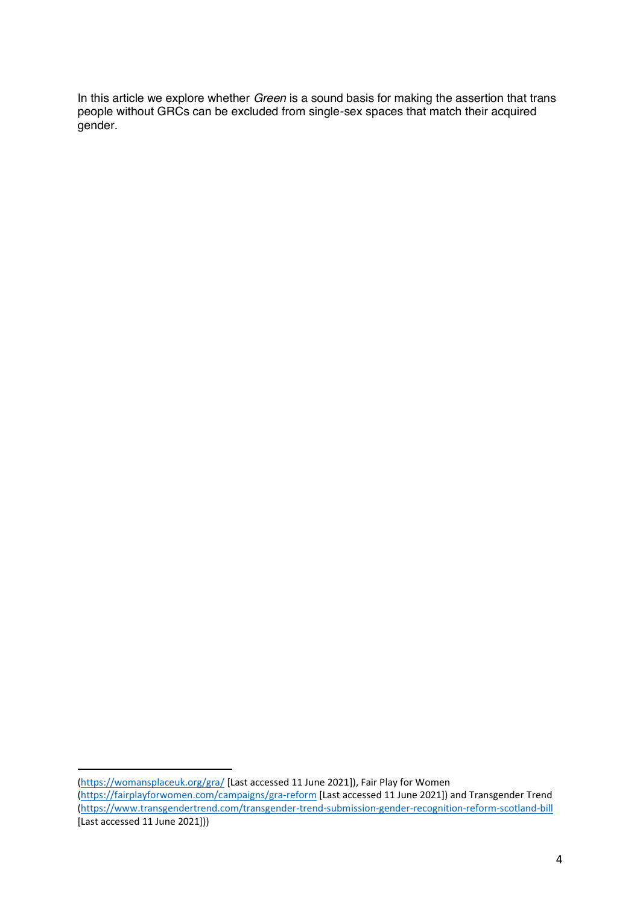In this article we explore whether *Green* is a sound basis for making the assertion that trans people without GRCs can be excluded from single-sex spaces that match their acquired gender.

<sup>(</sup>https://womansplaceuk.org/gra/ [Last accessed 11 June 2021]), Fair Play for Women (https://fairplayforwomen.com/campaigns/gra-reform [Last accessed 11 June 2021]) and Transgender Trend (https://www.transgendertrend.com/transgender-trend-submission-gender-recognition-reform-scotland-bill [Last accessed 11 June 2021]))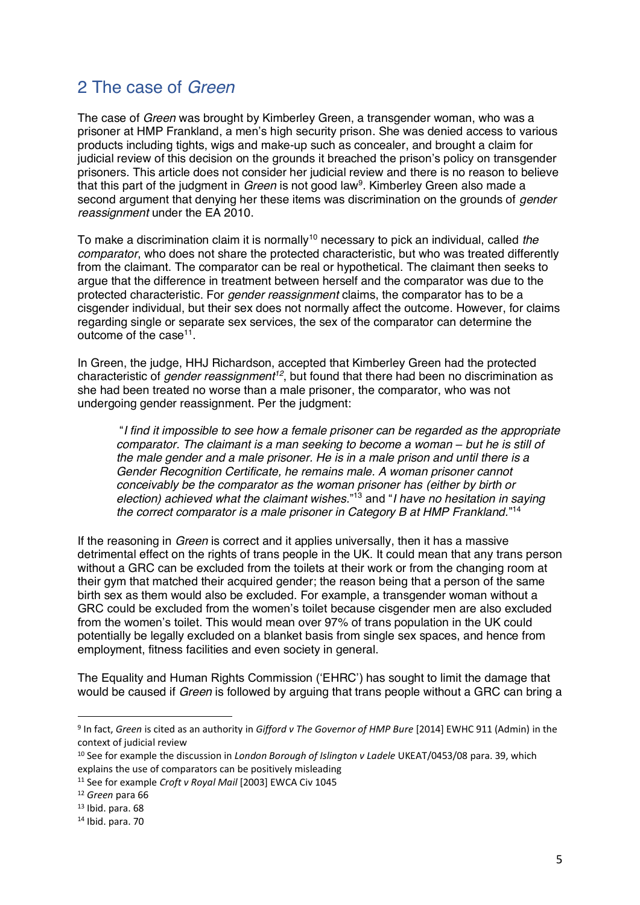### 2 The case of *Green*

The case of *Green* was brought by Kimberley Green, a transgender woman, who was a prisoner at HMP Frankland, a men's high security prison. She was denied access to various products including tights, wigs and make-up such as concealer, and brought a claim for judicial review of this decision on the grounds it breached the prison's policy on transgender prisoners. This article does not consider her judicial review and there is no reason to believe that this part of the judgment in *Green* is not good law9. Kimberley Green also made a second argument that denying her these items was discrimination on the grounds of *gender reassignment* under the EA 2010.

To make a discrimination claim it is normally<sup>10</sup> necessary to pick an individual, called *the comparator*, who does not share the protected characteristic, but who was treated differently from the claimant. The comparator can be real or hypothetical. The claimant then seeks to argue that the difference in treatment between herself and the comparator was due to the protected characteristic. For *gender reassignment* claims, the comparator has to be a cisgender individual, but their sex does not normally affect the outcome. However, for claims regarding single or separate sex services, the sex of the comparator can determine the outcome of the case<sup>11</sup>.

In Green, the judge, HHJ Richardson, accepted that Kimberley Green had the protected characteristic of *gender reassignment12*, but found that there had been no discrimination as she had been treated no worse than a male prisoner, the comparator, who was not undergoing gender reassignment. Per the judgment:

"*I find it impossible to see how a female prisoner can be regarded as the appropriate comparator. The claimant is a man seeking to become a woman – but he is still of the male gender and a male prisoner. He is in a male prison and until there is a Gender Recognition Certificate, he remains male. A woman prisoner cannot conceivably be the comparator as the woman prisoner has (either by birth or election) achieved what the claimant wishes.*" <sup>13</sup> and "*I have no hesitation in saying the correct comparator is a male prisoner in Category B at HMP Frankland.*" 14

If the reasoning in *Green* is correct and it applies universally, then it has a massive detrimental effect on the rights of trans people in the UK. It could mean that any trans person without a GRC can be excluded from the toilets at their work or from the changing room at their gym that matched their acquired gender; the reason being that a person of the same birth sex as them would also be excluded. For example, a transgender woman without a GRC could be excluded from the women's toilet because cisgender men are also excluded from the women's toilet. This would mean over 97% of trans population in the UK could potentially be legally excluded on a blanket basis from single sex spaces, and hence from employment, fitness facilities and even society in general.

The Equality and Human Rights Commission ('EHRC') has sought to limit the damage that would be caused if *Green* is followed by arguing that trans people without a GRC can bring a

<sup>9</sup> In fact, *Green* is cited as an authority in *Gifford v The Governor of HMP Bure* [2014] EWHC 911 (Admin) in the context of judicial review

<sup>10</sup> See for example the discussion in *London Borough of Islington v Ladele* UKEAT/0453/08 para. 39, which explains the use of comparators can be positively misleading

<sup>11</sup> See for example *Croft v Royal Mail* [2003] EWCA Civ 1045

<sup>12</sup> *Green* para 66

 $13$  Ibid. para. 68

<sup>14</sup> Ibid. para. 70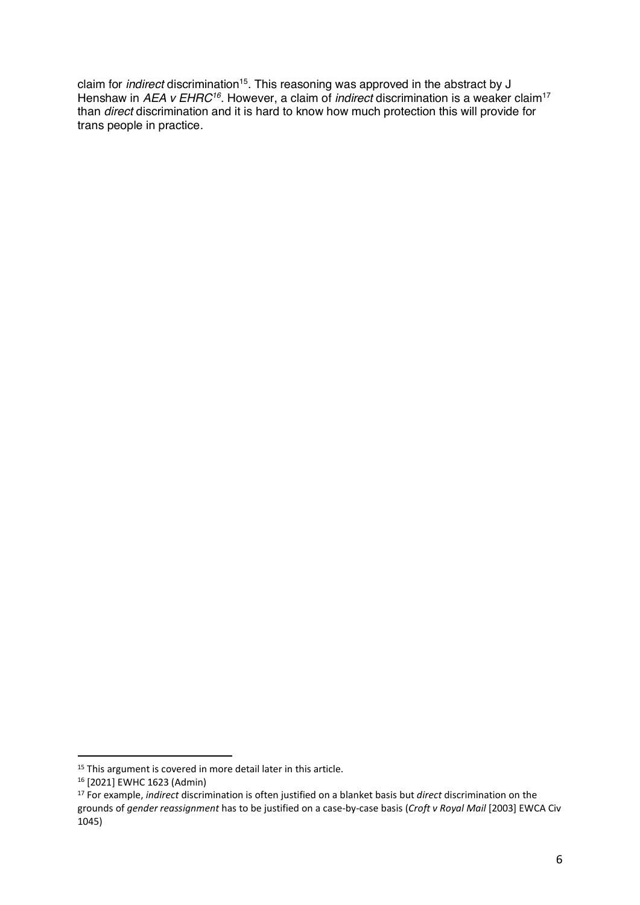claim for *indirect* discrimination<sup>15</sup>. This reasoning was approved in the abstract by J Henshaw in *AEA v EHRC<sup>16</sup>.* However, a claim of *indirect* discrimination is a weaker claim<sup>17</sup> than *direct* discrimination and it is hard to know how much protection this will provide for trans people in practice.

<sup>&</sup>lt;sup>15</sup> This argument is covered in more detail later in this article.

<sup>16</sup> [2021] EWHC 1623 (Admin)

<sup>17</sup> For example, *indirect* discrimination is often justified on a blanket basis but *direct* discrimination on the grounds of *gender reassignment* has to be justified on a case-by-case basis (*Croft v Royal Mail* [2003] EWCA Civ 1045)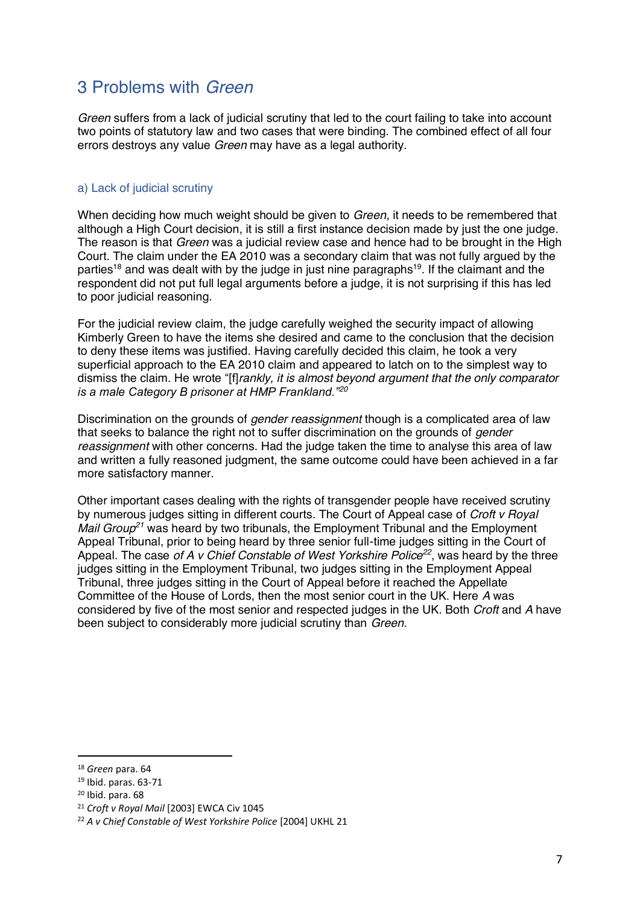## 3 Problems with *Green*

*Green* suffers from a lack of judicial scrutiny that led to the court failing to take into account two points of statutory law and two cases that were binding. The combined effect of all four errors destroys any value *Green* may have as a legal authority.

#### a) Lack of judicial scrutiny

When deciding how much weight should be given to *Green*, it needs to be remembered that although a High Court decision, it is still a first instance decision made by just the one judge. The reason is that *Green* was a judicial review case and hence had to be brought in the High Court. The claim under the EA 2010 was a secondary claim that was not fully argued by the parties<sup>18</sup> and was dealt with by the judge in just nine paragraphs<sup>19</sup>. If the claimant and the respondent did not put full legal arguments before a judge, it is not surprising if this has led to poor judicial reasoning.

For the judicial review claim, the judge carefully weighed the security impact of allowing Kimberly Green to have the items she desired and came to the conclusion that the decision to deny these items was justified. Having carefully decided this claim, he took a very superficial approach to the EA 2010 claim and appeared to latch on to the simplest way to dismiss the claim. He wrote "[f]*rankly, it is almost beyond argument that the only comparator is a male Category B prisoner at HMP Frankland.*<sup>*"20"*</sup>

Discrimination on the grounds of *gender reassignment* though is a complicated area of law that seeks to balance the right not to suffer discrimination on the grounds of *gender reassignment* with other concerns. Had the judge taken the time to analyse this area of law and written a fully reasoned judgment, the same outcome could have been achieved in a far more satisfactory manner.

Other important cases dealing with the rights of transgender people have received scrutiny by numerous judges sitting in different courts. The Court of Appeal case of *Croft v Royal Mail Group21* was heard by two tribunals, the Employment Tribunal and the Employment Appeal Tribunal, prior to being heard by three senior full-time judges sitting in the Court of Appeal. The case of A v Chief Constable of West Yorkshire Police<sup>22</sup>, was heard by the three judges sitting in the Employment Tribunal, two judges sitting in the Employment Appeal Tribunal, three judges sitting in the Court of Appeal before it reached the Appellate Committee of the House of Lords, then the most senior court in the UK. Here *A* was considered by five of the most senior and respected judges in the UK. Both *Croft* and *A* have been subject to considerably more judicial scrutiny than *Green*.

<sup>18</sup> *Green* para. 64

<sup>19</sup> Ibid. paras. 63-71

<sup>20</sup> Ibid. para. 68

<sup>21</sup> *Croft v Royal Mail* [2003] EWCA Civ 1045

<sup>22</sup> *A v Chief Constable of West Yorkshire Police* [2004] UKHL 21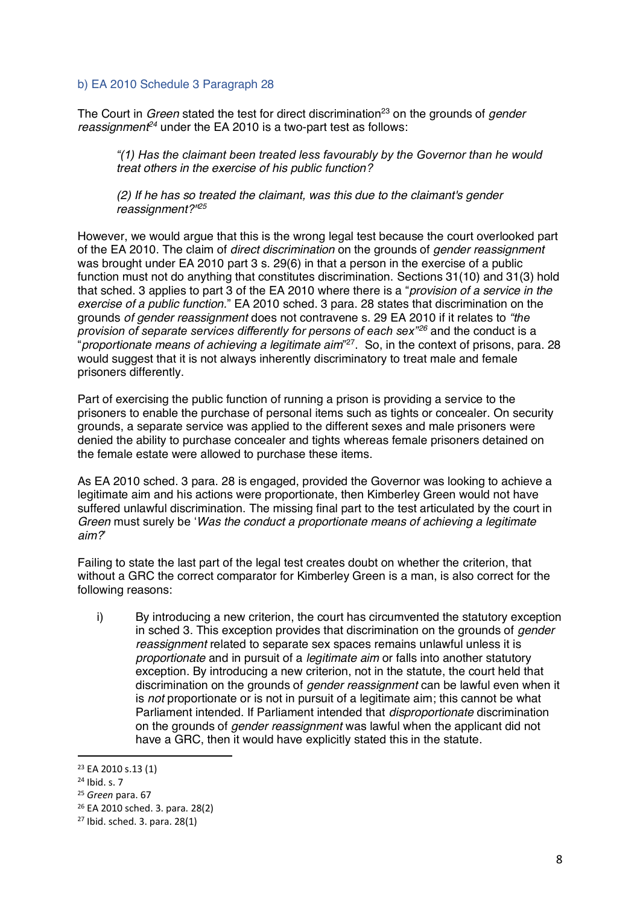#### b) EA 2010 Schedule 3 Paragraph 28

The Court in *Green* stated the test for direct discrimination<sup>23</sup> on the grounds of *gender reassignment24* under the EA 2010 is a two-part test as follows:

<sup>4(1)</sup> Has the claimant been treated less favourably by the Governor than he would *treat others in the exercise of his public function?*

*(2) If he has so treated the claimant, was this due to the claimant's gender reassignment?"25*

However, we would argue that this is the wrong legal test because the court overlooked part of the EA 2010. The claim of *direct discrimination* on the grounds of *gender reassignment* was brought under EA 2010 part 3 s. 29(6) in that a person in the exercise of a public function must not do anything that constitutes discrimination. Sections 31(10) and 31(3) hold that sched. 3 applies to part 3 of the EA 2010 where there is a "*provision of a service in the exercise of a public function.*" EA 2010 sched. 3 para. 28 states that discrimination on the grounds *of gender reassignment* does not contravene s. 29 EA 2010 if it relates to *³the provision of separate services differently for persons of each sex<sup>726</sup> and the conduct is a* "*proportionate means of achieving a legitimate aim*" 27. So, in the context of prisons, para. 28 would suggest that it is not always inherently discriminatory to treat male and female prisoners differently.

Part of exercising the public function of running a prison is providing a service to the prisoners to enable the purchase of personal items such as tights or concealer. On security grounds, a separate service was applied to the different sexes and male prisoners were denied the ability to purchase concealer and tights whereas female prisoners detained on the female estate were allowed to purchase these items.

As EA 2010 sched. 3 para. 28 is engaged, provided the Governor was looking to achieve a legitimate aim and his actions were proportionate, then Kimberley Green would not have suffered unlawful discrimination. The missing final part to the test articulated by the court in *Green* must surely be *'Was the conduct a proportionate means of achieving a legitimate aim?*¶

Failing to state the last part of the legal test creates doubt on whether the criterion, that without a GRC the correct comparator for Kimberley Green is a man, is also correct for the following reasons:

i) By introducing a new criterion, the court has circumvented the statutory exception in sched 3. This exception provides that discrimination on the grounds of *gender reassignment* related to separate sex spaces remains unlawful unless it is *proportionate* and in pursuit of a *legitimate aim* or falls into another statutory exception. By introducing a new criterion, not in the statute, the court held that discrimination on the grounds of *gender reassignment* can be lawful even when it is *not* proportionate or is not in pursuit of a legitimate aim; this cannot be what Parliament intended. If Parliament intended that *disproportionate* discrimination on the grounds of *gender reassignment* was lawful when the applicant did not have a GRC, then it would have explicitly stated this in the statute.

<sup>23</sup> EA 2010 s.13 (1)

<sup>24</sup> Ibid. s. 7

<sup>25</sup> *Green* para. 67

<sup>26</sup> EA 2010 sched. 3. para. 28(2)

 $27$  Ibid. sched. 3. para. 28(1)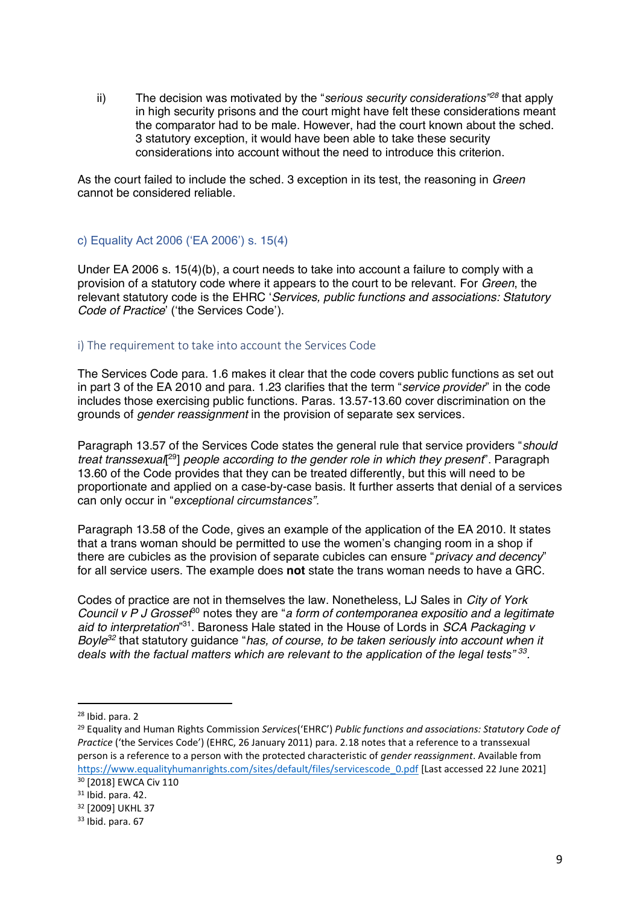ii) The decision was motivated by the "*serious security considerations*<sup>*n28*</sup> that apply in high security prisons and the court might have felt these considerations meant the comparator had to be male. However, had the court known about the sched. 3 statutory exception, it would have been able to take these security considerations into account without the need to introduce this criterion.

As the court failed to include the sched. 3 exception in its test, the reasoning in *Green* cannot be considered reliable.

#### c) Equality Act 2006 ( $E$ A 2006') s. 15(4)

Under EA 2006 s. 15(4)(b), a court needs to take into account a failure to comply with a provision of a statutory code where it appears to the court to be relevant. For *Green*, the relevant statutory code is the EHRC 'Services, public functions and associations: Statutory *Code of Practice*' ('the Services Code').

#### i) The requirement to take into account the Services Code

The Services Code para. 1.6 makes it clear that the code covers public functions as set out in part 3 of the EA 2010 and para. 1.23 clarifies that the term "*service provider*" in the code includes those exercising public functions. Paras. 13.57-13.60 cover discrimination on the grounds of *gender reassignment* in the provision of separate sex services.

Paragraph 13.57 of the Services Code states the general rule that service providers "*should treat transsexual*[ 29] *people according to the gender role in which they present*". Paragraph 13.60 of the Code provides that they can be treated differently, but this will need to be proportionate and applied on a case-by-case basis. It further asserts that denial of a services can only occur in "*exceptional circumstances"*.

Paragraph 13.58 of the Code, gives an example of the application of the EA 2010. It states that a trans woman should be permitted to use the women's changing room in a shop if there are cubicles as the provision of separate cubicles can ensure "*privacy and decency*" for all service users. The example does **not** state the trans woman needs to have a GRC.

Codes of practice are not in themselves the law. Nonetheless, LJ Sales in *City of York Council v P J Grosset*<sup>30</sup> notes they are "*a form of contemporanea expositio and a legitimate aid to interpretation*" 31. Baroness Hale stated in the House of Lords in *SCA Packaging v Boyle32* that statutory guidance "*has, of course, to be taken seriously into account when it deals with the factual matters which are relevant to the application of the legal tests*<sup>33</sup>.

<sup>28</sup> Ibid. para. 2

<sup>&</sup>lt;sup>29</sup> Equality and Human Rights Commission *Services*('EHRC') *Public functions and associations: Statutory Code of Practice* ('the Services Code') (EHRC, 26 January 2011) para. 2.18 notes that a reference to a transsexual person is a reference to a person with the protected characteristic of *gender reassignment*. Available from https://www.equalityhumanrights.com/sites/default/files/servicescode\_0.pdf [Last accessed 22 June 2021]

<sup>30</sup> [2018] EWCA Civ 110

<sup>31</sup> Ibid. para. 42.

<sup>32</sup> [2009] UKHL 37

<sup>33</sup> Ibid. para. 67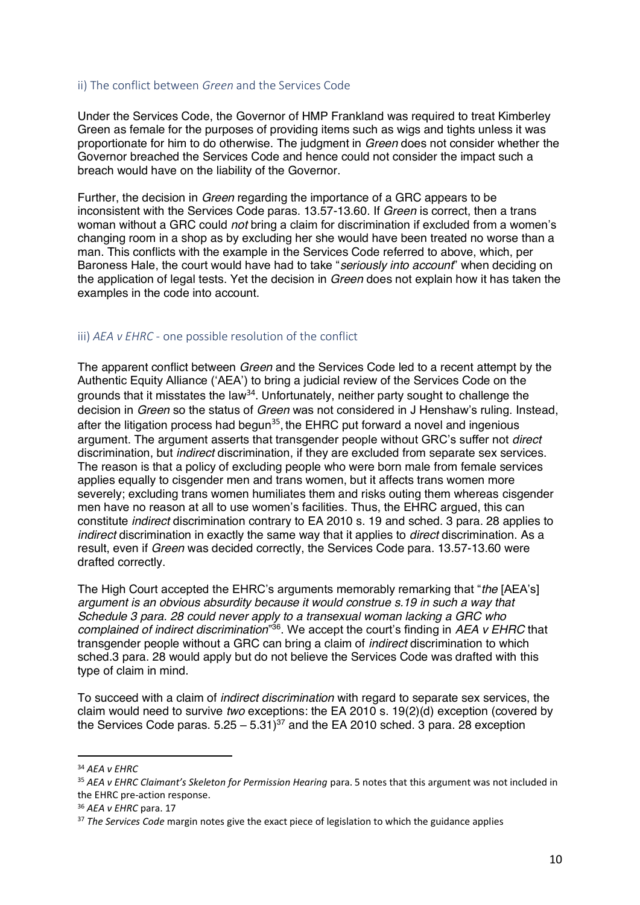#### ii) The conflict between *Green* and the Services Code

Under the Services Code, the Governor of HMP Frankland was required to treat Kimberley Green as female for the purposes of providing items such as wigs and tights unless it was proportionate for him to do otherwise. The judgment in *Green* does not consider whether the Governor breached the Services Code and hence could not consider the impact such a breach would have on the liability of the Governor.

Further, the decision in *Green* regarding the importance of a GRC appears to be inconsistent with the Services Code paras. 13.57-13.60. If *Green* is correct, then a trans woman without a GRC could *not* bring a claim for discrimination if excluded from a women's changing room in a shop as by excluding her she would have been treated no worse than a man. This conflicts with the example in the Services Code referred to above, which, per Baroness Hale, the court would have had to take "*seriously into account*" when deciding on the application of legal tests. Yet the decision in *Green* does not explain how it has taken the examples in the code into account.

#### iii) *AEA v EHRC* - one possible resolution of the conflict

The apparent conflict between *Green* and the Services Code led to a recent attempt by the Authentic Equity Alliance ('AEA') to bring a judicial review of the Services Code on the grounds that it misstates the law<sup>34</sup>. Unfortunately, neither party sought to challenge the decision in *Green* so the status of *Green* was not considered in J Henshaw's ruling. Instead, after the litigation process had begun<sup>35</sup>, the EHRC put forward a novel and ingenious argument. The argument asserts that transgender people without GRC's suffer not *direct* discrimination, but *indirect* discrimination, if they are excluded from separate sex services. The reason is that a policy of excluding people who were born male from female services applies equally to cisgender men and trans women, but it affects trans women more severely; excluding trans women humiliates them and risks outing them whereas cisgender men have no reason at all to use women's facilities. Thus, the EHRC argued, this can constitute *indirect* discrimination contrary to EA 2010 s. 19 and sched. 3 para. 28 applies to *indirect* discrimination in exactly the same way that it applies to *direct* discrimination. As a result, even if *Green* was decided correctly, the Services Code para. 13.57-13.60 were drafted correctly.

The High Court accepted the EHRC's arguments memorably remarking that "*the* [AEA's] *argument is an obvious absurdity because it would construe s.19 in such a way that Schedule 3 para. 28 could never apply to a transexual woman lacking a GRC who*  complained of indirect discrimination<sup>"36</sup>. We accept the court's finding in AEA v EHRC that transgender people without a GRC can bring a claim of *indirect* discrimination to which sched.3 para. 28 would apply but do not believe the Services Code was drafted with this type of claim in mind.

To succeed with a claim of *indirect discrimination* with regard to separate sex services, the claim would need to survive *two* exceptions: the EA 2010 s. 19(2)(d) exception (covered by the Services Code paras.  $5.25 - 5.31$ <sup>37</sup> and the EA 2010 sched. 3 para. 28 exception

<sup>34</sup> *AEA v EHRC*

<sup>35</sup> AEA v EHRC Claimant's Skeleton for Permission Hearing para. 5 notes that this argument was not included in the EHRC pre-action response.

<sup>36</sup> *AEA v EHRC* para. 17

<sup>&</sup>lt;sup>37</sup> The Services Code margin notes give the exact piece of legislation to which the guidance applies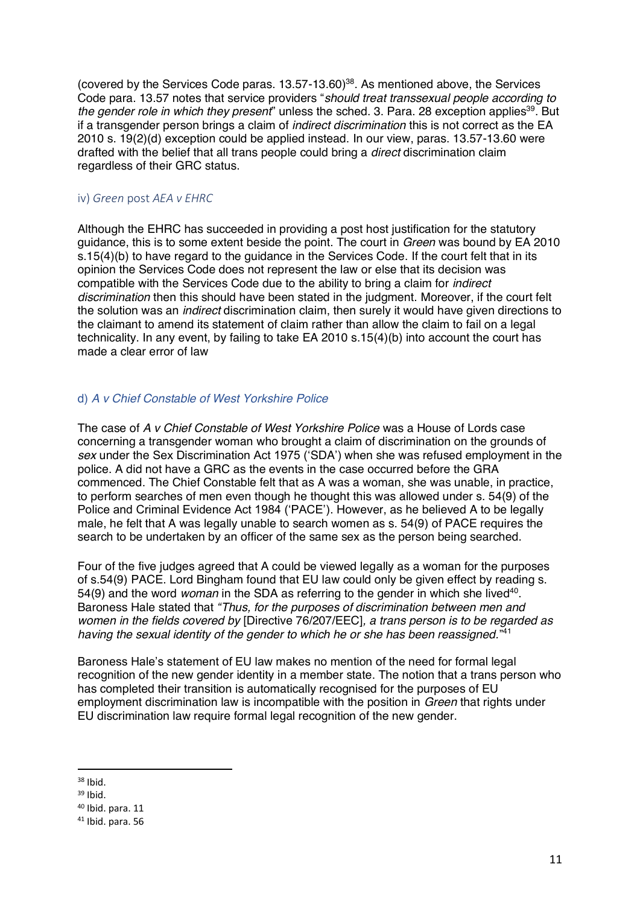(covered by the Services Code paras.  $13.57 - 13.60$ <sup>38</sup>. As mentioned above, the Services Code para. 13.57 notes that service providers "*should treat transsexual people according to the gender role in which they present*" unless the sched. 3. Para. 28 exception applies<sup>39</sup>. But if a transgender person brings a claim of *indirect discrimination* this is not correct as the EA 2010 s. 19(2)(d) exception could be applied instead. In our view, paras. 13.57-13.60 were drafted with the belief that all trans people could bring a *direct* discrimination claim regardless of their GRC status.

#### iv) *Green* post *AEA v EHRC*

Although the EHRC has succeeded in providing a post host justification for the statutory guidance, this is to some extent beside the point. The court in *Green* was bound by EA 2010 s.15(4)(b) to have regard to the guidance in the Services Code. If the court felt that in its opinion the Services Code does not represent the law or else that its decision was compatible with the Services Code due to the ability to bring a claim for *indirect discrimination* then this should have been stated in the judgment. Moreover, if the court felt the solution was an *indirect* discrimination claim, then surely it would have given directions to the claimant to amend its statement of claim rather than allow the claim to fail on a legal technicality. In any event, by failing to take EA 2010 s.15(4)(b) into account the court has made a clear error of law

#### d) *A v Chief Constable of West Yorkshire Police*

The case of *A v Chief Constable of West Yorkshire Police* was a House of Lords case concerning a transgender woman who brought a claim of discrimination on the grounds of *sex* under the Sex Discrimination Act 1975 ('SDA') when she was refused employment in the police. A did not have a GRC as the events in the case occurred before the GRA commenced. The Chief Constable felt that as A was a woman, she was unable, in practice, to perform searches of men even though he thought this was allowed under s. 54(9) of the Police and Criminal Evidence Act 1984 ('PACE'). However, as he believed A to be legally male, he felt that A was legally unable to search women as s. 54(9) of PACE requires the search to be undertaken by an officer of the same sex as the person being searched.

Four of the five judges agreed that A could be viewed legally as a woman for the purposes of s.54(9) PACE. Lord Bingham found that EU law could only be given effect by reading s. 54(9) and the word *woman* in the SDA as referring to the gender in which she lived<sup>40</sup>. Baroness Hale stated that *"Thus, for the purposes of discrimination between men and women in the fields covered by* [Directive 76/207/EEC]*, a trans person is to be regarded as having the sexual identity of the gender to which he or she has been reassigned.*" 41

Baroness Hale's statement of EU law makes no mention of the need for formal legal recognition of the new gender identity in a member state. The notion that a trans person who has completed their transition is automatically recognised for the purposes of EU employment discrimination law is incompatible with the position in *Green* that rights under EU discrimination law require formal legal recognition of the new gender.

<sup>38</sup> Ibid.

 $39$  Ibid.

<sup>40</sup> Ibid. para. 11

<sup>41</sup> Ibid. para. 56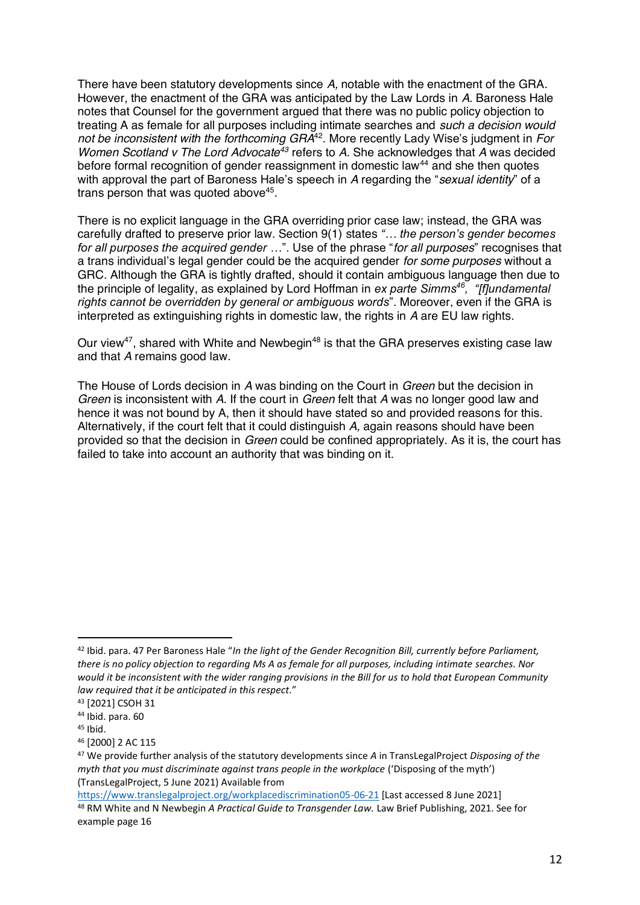There have been statutory developments since *A,* notable with the enactment of the GRA. However, the enactment of the GRA was anticipated by the Law Lords in *A*. Baroness Hale notes that Counsel for the government argued that there was no public policy objection to treating A as female for all purposes including intimate searches and *such a decision would not be inconsistent with the forthcoming GRA<sup>42</sup>. More recently Lady Wise's judgment in <i>For Women Scotland v The Lord Advocate43* refers to *A.* She acknowledges that *A* was decided before formal recognition of gender reassignment in domestic law<sup>44</sup> and she then quotes with approval the part of Baroness Hale's speech in A regarding the "*sexual identity*" of a trans person that was quoted above<sup>45</sup>.

There is no explicit language in the GRA overriding prior case law; instead, the GRA was carefully drafted to preserve prior law. Section 9(1) states "... the person's gender becomes for all purposes the acquired gender ...". Use of the phrase "for all purposes" recognises that a trans individual's legal gender could be the acquired gender *for some purposes* without a GRC. Although the GRA is tightly drafted, should it contain ambiguous language then due to the principle of legality, as explained by Lord Hoffman in *ex parte Simms46, "[f]undamental rights cannot be overridden by general or ambiguous words*". Moreover, even if the GRA is interpreted as extinguishing rights in domestic law, the rights in *A* are EU law rights.

Our view<sup>47</sup>, shared with White and Newbegin<sup>48</sup> is that the GRA preserves existing case law and that *A* remains good law.

The House of Lords decision in *A* was binding on the Court in *Green* but the decision in *Green* is inconsistent with *A*. If the court in *Green* felt that *A* was no longer good law and hence it was not bound by A, then it should have stated so and provided reasons for this. Alternatively, if the court felt that it could distinguish *A,* again reasons should have been provided so that the decision in *Green* could be confined appropriately. As it is, the court has failed to take into account an authority that was binding on it.

<sup>&</sup>lt;sup>42</sup> Ibid. para. 47 Per Baroness Hale "In the light of the Gender Recognition Bill, currently before Parliament, *there is no policy objection to regarding Ms A as female for all purposes, including intimate searches. Nor would it be inconsistent with the wider ranging provisions in the Bill for us to hold that European Community law required that it be anticipated in this respect.*"

<sup>43</sup> [2021] CSOH 31

<sup>44</sup> Ibid. para. 60

 $45$  Ibid.

<sup>46</sup> [2000] 2 AC 115

<sup>47</sup> We provide further analysis of the statutory developments since *A* in TransLegalProject *Disposing of the myth that you must discriminate against trans people in the workplace* ('Disposing of the myth') (TransLegalProject, 5 June 2021) Available from

https://www.translegalproject.org/workplacediscrimination05-06-21 [Last accessed 8 June 2021] <sup>48</sup> RM White and N Newbegin *A Practical Guide to Transgender Law.* Law Brief Publishing, 2021. See for example page 16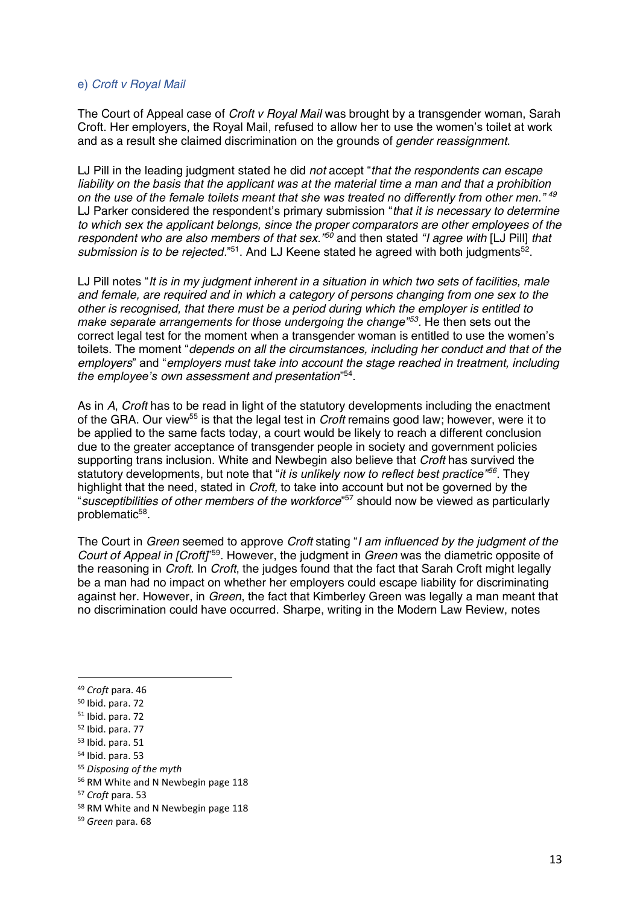#### e) *Croft v Royal Mail*

The Court of Appeal case of *Croft v Royal Mail* was brought by a transgender woman, Sarah Croft. Her employers, the Royal Mail, refused to allow her to use the women's toilet at work and as a result she claimed discrimination on the grounds of *gender reassignment*.

LJ Pill in the leading judgment stated he did *not* accept "*that the respondents can escape liability on the basis that the applicant was at the material time a man and that a prohibition*  on the use of the female toilets meant that she was treated no differently from other men.<sup>"49</sup> LJ Parker considered the respondent's primary submission "*that it is necessary to determine to which sex the applicant belongs, since the proper comparators are other employees of the respondent who are also members of that sex.´<sup>50</sup>* and then stated *³I agree with* [LJ Pill] *that*  submission is to be rejected."<sup>51</sup>. And LJ Keene stated he agreed with both judgments<sup>52</sup>.

LJ Pill notes "*It is in my judgment inherent in a situation in which two sets of facilities, male and female, are required and in which a category of persons changing from one sex to the other is recognised, that there must be a period during which the employer is entitled to make separate arrangements for those undergoing the change´53.* He then sets out the correct legal test for the moment when a transgender woman is entitled to use the women's toilets. The moment "*depends on all the circumstances, including her conduct and that of the employers*" and "*employers must take into account the stage reached in treatment, including the emplo\ee¶s own assessment and presentation*" 54.

As in *A*, *Croft* has to be read in light of the statutory developments including the enactment of the GRA. Our view55 is that the legal test in *Croft* remains good law; however, were it to be applied to the same facts today, a court would be likely to reach a different conclusion due to the greater acceptance of transgender people in society and government policies supporting trans inclusion. White and Newbegin also believe that *Croft* has survived the statutory developments, but note that "*it is unlikely now to reflect best practice*<sup>"56</sup>. They highlight that the need, stated in *Croft,* to take into account but not be governed by the "*susceptibilities of other members of the workforce*" <sup>57</sup> should now be viewed as particularly problematic<sup>58</sup>.

The Court in *Green* seemed to approve *Croft* stating "*I am influenced by the judgment of the Court of Appeal in [Croft]*" 59. However, the judgment in *Green* was the diametric opposite of the reasoning in *Croft.* In *Croft*, the judges found that the fact that Sarah Croft might legally be a man had no impact on whether her employers could escape liability for discriminating against her. However, in *Green*, the fact that Kimberley Green was legally a man meant that no discrimination could have occurred. Sharpe, writing in the Modern Law Review, notes

<sup>49</sup> *Croft* para. 46

<sup>50</sup> Ibid. para. 72

<sup>51</sup> Ibid. para. 72

<sup>52</sup> Ibid. para. 77

<sup>53</sup> Ibid. para. 51

<sup>54</sup> Ibid. para. 53

<sup>55</sup> *Disposing of the myth*

<sup>56</sup> RM White and N Newbegin page 118

<sup>57</sup> *Croft* para. 53

<sup>58</sup> RM White and N Newbegin page 118

<sup>59</sup> *Green* para. 68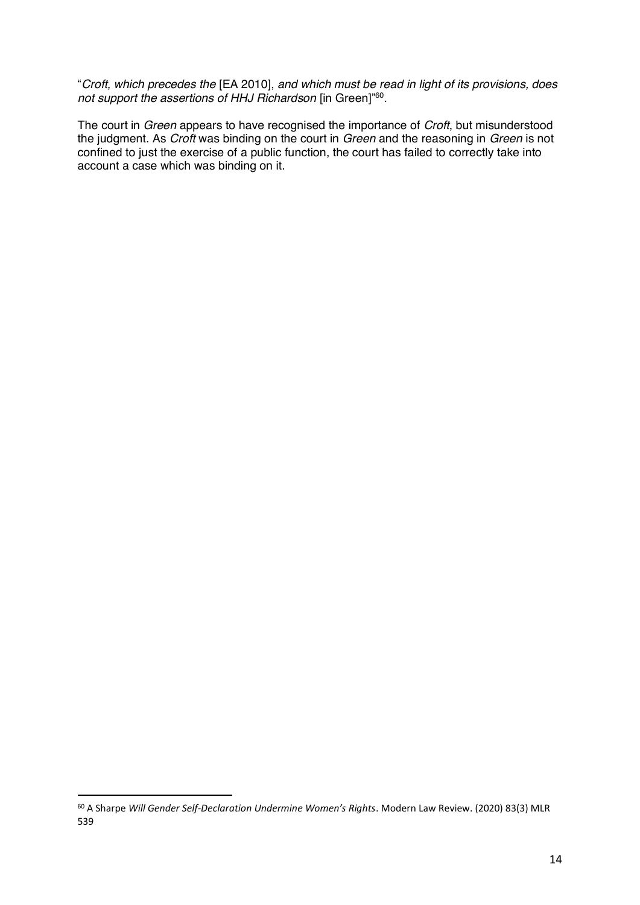"*Croft, which precedes the* [EA 2010], *and which must be read in light of its provisions, does not support the assertions of HHJ Richardson* [in Green]" 60.

The court in *Green* appears to have recognised the importance of *Croft*, but misunderstood the judgment. As *Croft* was binding on the court in *Green* and the reasoning in *Green* is not confined to just the exercise of a public function, the court has failed to correctly take into account a case which was binding on it.

<sup>60</sup> A Sharpe *Will Gender Self-Declaration Undermine Women͛s Rights*. Modern Law Review. (2020) 83(3) MLR 539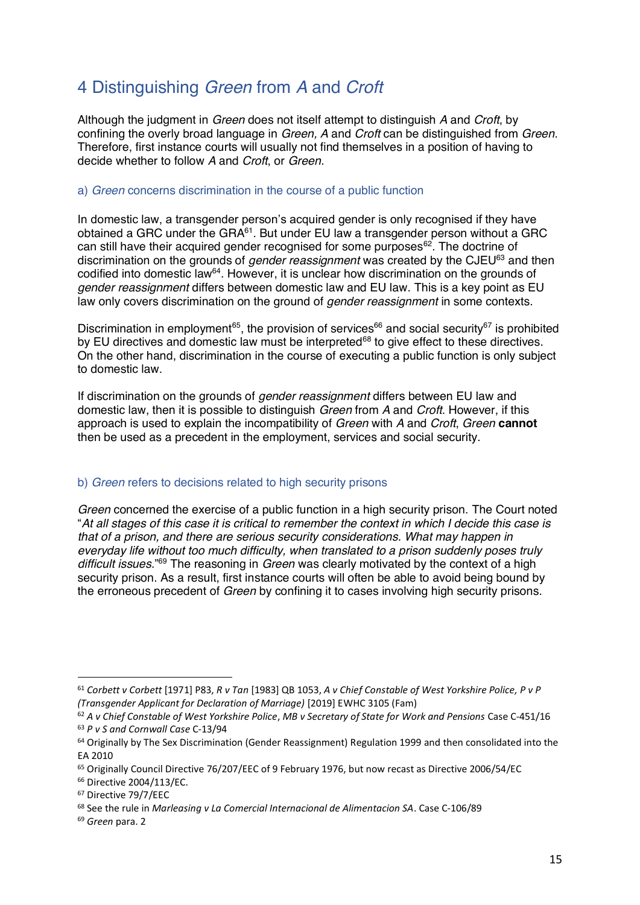# 4 Distinguishing *Green* from *A* and *Croft*

Although the judgment in *Green* does not itself attempt to distinguish *A* and *Croft*, by confining the overly broad language in *Green, A* and *Croft* can be distinguished from *Green*. Therefore, first instance courts will usually not find themselves in a position of having to decide whether to follow *A* and *Croft*, or *Green*.

#### a) *Green* concerns discrimination in the course of a public function

In domestic law, a transgender person's acquired gender is only recognised if they have obtained a GRC under the GRA $61$ . But under EU law a transgender person without a GRC can still have their acquired gender recognised for some purposes<sup>62</sup>. The doctrine of discrimination on the grounds of *gender reassignment* was created by the CJEU63 and then codified into domestic law<sup>64</sup>. However, it is unclear how discrimination on the grounds of *gender reassignment* differs between domestic law and EU law. This is a key point as EU law only covers discrimination on the ground of *gender reassignment* in some contexts.

Discrimination in employment<sup>65</sup>, the provision of services<sup>66</sup> and social security<sup>67</sup> is prohibited by EU directives and domestic law must be interpreted<sup>68</sup> to give effect to these directives. On the other hand, discrimination in the course of executing a public function is only subject to domestic law.

If discrimination on the grounds of *gender reassignment* differs between EU law and domestic law, then it is possible to distinguish *Green* from *A* and *Croft*. However, if this approach is used to explain the incompatibility of *Green* with *A* and *Croft*, *Green* **cannot** then be used as a precedent in the employment, services and social security.

#### b) *Green* refers to decisions related to high security prisons

*Green* concerned the exercise of a public function in a high security prison. The Court noted "*At all stages of this case it is critical to remember the context in which I decide this case is that of a prison, and there are serious security considerations. What may happen in everyday life without too much difficulty, when translated to a prison suddenly poses truly difficult issues.*" <sup>69</sup> The reasoning in *Green* was clearly motivated by the context of a high security prison. As a result, first instance courts will often be able to avoid being bound by the erroneous precedent of *Green* by confining it to cases involving high security prisons.

<sup>61</sup> *Corbett v Corbett* [1971] P83, *R v Tan* [1983] QB 1053, *A v Chief Constable of West Yorkshire Police, P v P (Transgender Applicant for Declaration of Marriage)* [2019] EWHC 3105 (Fam)

<sup>62</sup> *A v Chief Constable of West Yorkshire Police*, *MB v Secretary of State for Work and Pensions* Case C-451/16 <sup>63</sup> *P v S and Cornwall Case* C-13/94

<sup>64</sup> Originally by The Sex Discrimination (Gender Reassignment) Regulation 1999 and then consolidated into the EA 2010

<sup>&</sup>lt;sup>65</sup> Originally Council Directive 76/207/EEC of 9 February 1976, but now recast as Directive 2006/54/EC

<sup>66</sup> Directive 2004/113/EC.

<sup>67</sup> Directive 79/7/EEC

<sup>68</sup> See the rule in *Marleasing v La Comercial Internacional de Alimentacion SA*. Case C-106/89

<sup>69</sup> *Green* para. 2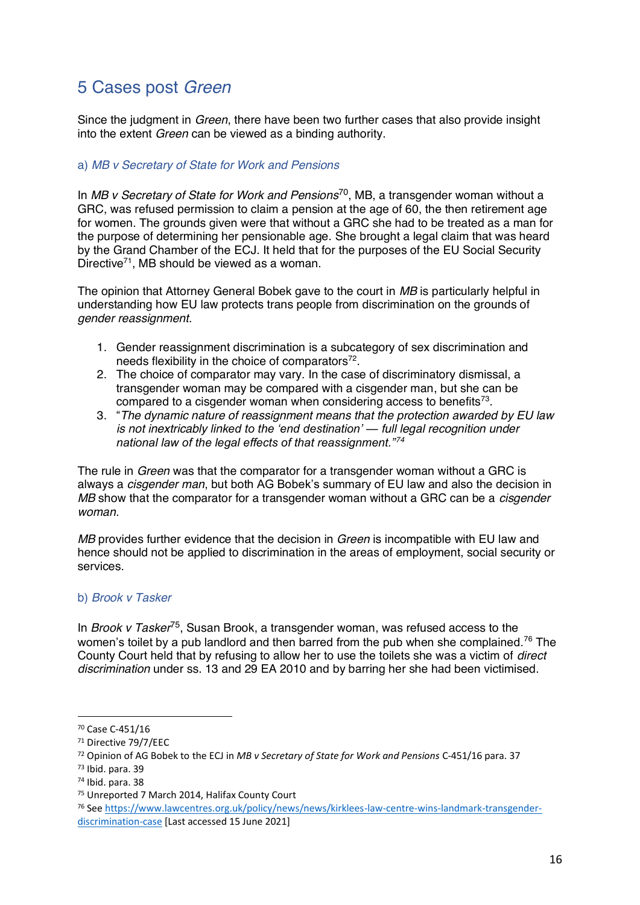# 5 Cases post *Green*

Since the judgment in *Green*, there have been two further cases that also provide insight into the extent *Green* can be viewed as a binding authority.

#### a) *MB v Secretary of State for Work and Pensions*

In *MB v Secretary of State for Work and Pensions*70, MB, a transgender woman without a GRC, was refused permission to claim a pension at the age of 60, the then retirement age for women. The grounds given were that without a GRC she had to be treated as a man for the purpose of determining her pensionable age. She brought a legal claim that was heard by the Grand Chamber of the ECJ. It held that for the purposes of the EU Social Security Directive<sup>71</sup>, MB should be viewed as a woman.

The opinion that Attorney General Bobek gave to the court in *MB* is particularly helpful in understanding how EU law protects trans people from discrimination on the grounds of *gender reassignment*.

- 1. Gender reassignment discrimination is a subcategory of sex discrimination and needs flexibility in the choice of comparators $72$ .
- 2. The choice of comparator may vary. In the case of discriminatory dismissal, a transgender woman may be compared with a cisgender man, but she can be compared to a cisgender woman when considering access to benefits<sup>73</sup>.
- 3. "*The dynamic nature of reassignment means that the protection awarded by EU law is not inextricably linked to the 'end destination' — full legal recognition under* national law of the legal effects of that reassignment.<sup>"74</sup>

The rule in *Green* was that the comparator for a transgender woman without a GRC is always a *cisgender man*, but both AG Bobek's summary of EU law and also the decision in *MB* show that the comparator for a transgender woman without a GRC can be a *cisgender woman*.

*MB* provides further evidence that the decision in *Green* is incompatible with EU law and hence should not be applied to discrimination in the areas of employment, social security or services.

#### b) *Brook v Tasker*

In *Brook v Tasker*75, Susan Brook, a transgender woman, was refused access to the women's toilet by a pub landlord and then barred from the pub when she complained.<sup>76</sup> The County Court held that by refusing to allow her to use the toilets she was a victim of *direct discrimination* under ss. 13 and 29 EA 2010 and by barring her she had been victimised.

<sup>70</sup> Case C-451/16

<sup>71</sup> Directive 79/7/EEC

<sup>72</sup> Opinion of AG Bobek to the ECJ in *MB v Secretary of State for Work and Pensions* C-451/16 para. 37

<sup>73</sup> Ibid. para. 39

<sup>74</sup> Ibid. para. 38

<sup>75</sup> Unreported 7 March 2014, Halifax County Court

<sup>76</sup> See https://www.lawcentres.org.uk/policy/news/news/kirklees-law-centre-wins-landmark-transgenderdiscrimination-case [Last accessed 15 June 2021]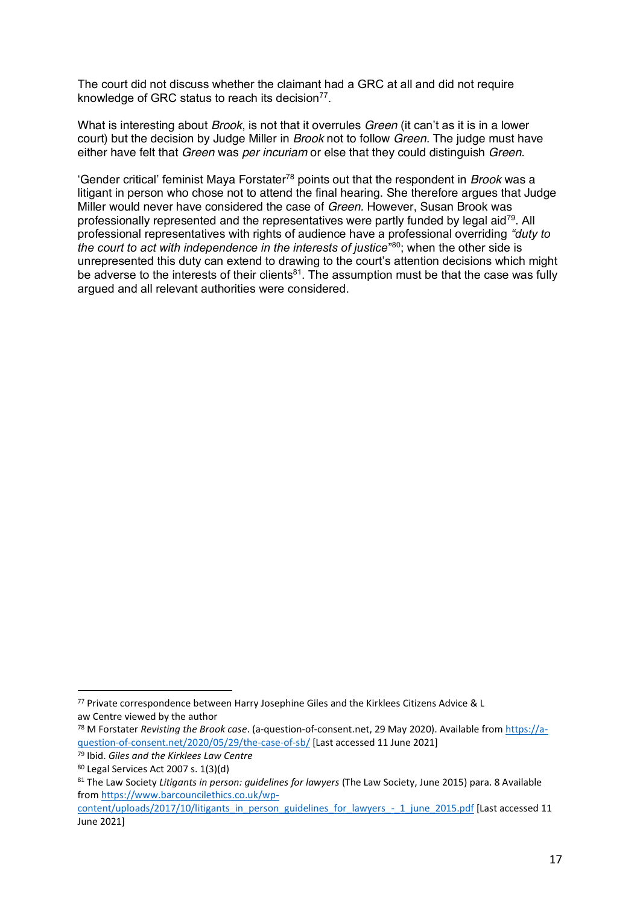The court did not discuss whether the claimant had a GRC at all and did not require knowledge of GRC status to reach its decision<sup>77</sup>.

What is interesting about *Brook*, is not that it overrules *Green* (it can't as it is in a lower court) but the decision by Judge Miller in *Brook* not to follow *Green*. The judge must have either have felt that *Green* was *per incuriam* or else that they could distinguish *Green*.

µGender critical¶ feminist Maya Forstater78 points out that the respondent in *Brook* was a litigant in person who chose not to attend the final hearing. She therefore argues that Judge Miller would never have considered the case of *Green.* However, Susan Brook was professionally represented and the representatives were partly funded by legal aid<sup>79</sup>. All professional representatives with rights of audience have a professional overriding *"duty to*  the court to act with independence in the interests of justice<sup>"80</sup>; when the other side is unrepresented this duty can extend to drawing to the court's attention decisions which might be adverse to the interests of their clients<sup>81</sup>. The assumption must be that the case was fully argued and all relevant authorities were considered.

<sup>77</sup> Private correspondence between Harry Josephine Giles and the Kirklees Citizens Advice & L aw Centre viewed by the author

<sup>78</sup> M Forstater *Revisting the Brook case*. (a-question-of-consent.net, 29 May 2020). Available from https://aquestion-of-consent.net/2020/05/29/the-case-of-sb/ [Last accessed 11 June 2021]

<sup>79</sup> Ibid. *Giles and the Kirklees Law Centre*

<sup>80</sup> Legal Services Act 2007 s. 1(3)(d)

<sup>81</sup> The Law Society *Litigants in person: guidelines for lawyers* (The Law Society, June 2015) para. 8 Available from https://www.barcouncilethics.co.uk/wp-

content/uploads/2017/10/litigants\_in\_person\_guidelines\_for\_lawyers\_-\_1\_june\_2015.pdf [Last accessed 11 June 2021]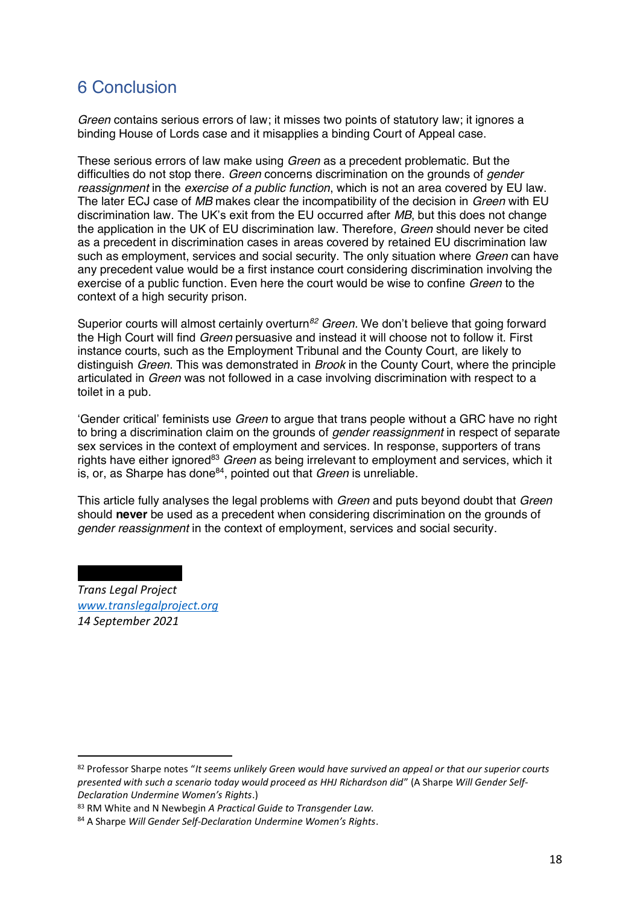### 6 Conclusion

*Green* contains serious errors of law; it misses two points of statutory law; it ignores a binding House of Lords case and it misapplies a binding Court of Appeal case.

These serious errors of law make using *Green* as a precedent problematic. But the difficulties do not stop there. *Green* concerns discrimination on the grounds of *gender reassignment* in the *exercise of a public function*, which is not an area covered by EU law. The later ECJ case of *MB* makes clear the incompatibility of the decision in *Green* with EU discrimination law. The UK's exit from the EU occurred after *MB*, but this does not change the application in the UK of EU discrimination law. Therefore, *Green* should never be cited as a precedent in discrimination cases in areas covered by retained EU discrimination law such as employment, services and social security. The only situation where *Green* can have any precedent value would be a first instance court considering discrimination involving the exercise of a public function. Even here the court would be wise to confine *Green* to the context of a high security prison.

Superior courts will almost certainly overturn<sup>82</sup> *Green*. We don't believe that going forward the High Court will find *Green* persuasive and instead it will choose not to follow it. First instance courts, such as the Employment Tribunal and the County Court, are likely to distinguish *Green*. This was demonstrated in *Brook* in the County Court, where the principle articulated in *Green* was not followed in a case involving discrimination with respect to a toilet in a pub.

µGender critical¶ feminists use *Green* to argue that trans people without a GRC have no right to bring a discrimination claim on the grounds of *gender reassignment* in respect of separate sex services in the context of employment and services. In response, supporters of trans rights have either ignored<sup>83</sup> Green as being irrelevant to employment and services, which it is, or, as Sharpe has done84, pointed out that *Green* is unreliable.

This article fully analyses the legal problems with *Green* and puts beyond doubt that *Green* should **never** be used as a precedent when considering discrimination on the grounds of *gender reassignment* in the context of employment, services and social security.

*Trans Legal Project www.translegalproject.org 14 September 2021*

<sup>82</sup> Professor Sharpe notes "It seems unlikely Green would have survived an appeal or that our superior courts presented with such a scenario today would proceed as HHJ Richardson did" (A Sharpe Will Gender Self-*Declaration Undermine Women͛s Rights*.)

<sup>83</sup> RM White and N Newbegin *A Practical Guide to Transgender Law.*

<sup>84</sup> A Sharpe *Will Gender Self-Declaration Undermine Women's Rights.*